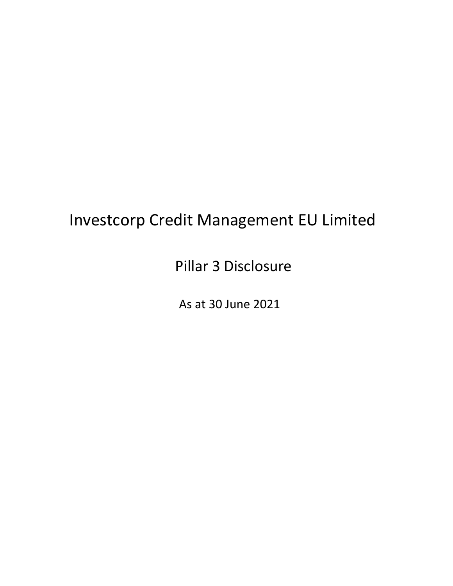# Investcorp Credit Management EU Limited

Pillar 3 Disclosure

As at 30 June 2021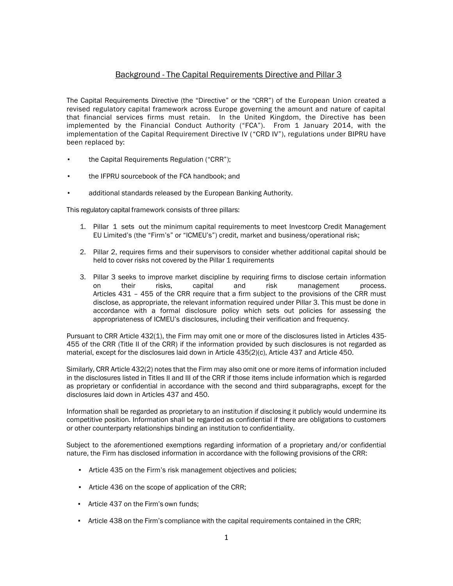## Background - The Capital Requirements Directive and Pillar 3

The Capital Requirements Directive (the "Directive" or the "CRR") of the European Union created a revised regulatory capital framework across Europe governing the amount and nature of capital that financial services firms must retain. In the United Kingdom, the Directive has been implemented by the Financial Conduct Authority ("FCA"). From 1 January 2014, with the implementation of the Capital Requirement Directive IV ("CRD IV"), regulations under BIPRU have been replaced by:

- the Capital Requirements Regulation ("CRR");
- the IFPRU sourcebook of the FCA handbook; and
- additional standards released by the European Banking Authority.

This regulatory capital framework consists of three pillars:

- 1. Pillar 1 sets out the minimum capital requirements to meet Investcorp Credit Management EU Limited's (the "Firm's" or "ICMEU's") credit, market and business/operational risk;
- 2. Pillar 2, requires firms and their supervisors to consider whether additional capital should be held to cover risks not covered by the Pillar 1 requirements
- 3. Pillar 3 seeks to improve market discipline by requiring firms to disclose certain information on their risks, capital and risk management process. Articles 431 – 455 of the CRR require that a firm subject to the provisions of the CRR must disclose, as appropriate, the relevant information required under Pillar 3. This must be done in accordance with a formal disclosure policy which sets out policies for assessing the appropriateness of ICMEU's disclosures, including their verification and frequency.

Pursuant to CRR Article 432(1), the Firm may omit one or more of the disclosures listed in Articles 435- 455 of the CRR (Title II of the CRR) if the information provided by such disclosures is not regarded as material, except for the disclosures laid down in Article 435(2)(c), Article 437 and Article 450.

Similarly, CRR Article 432(2) notes that the Firm may also omit one or more items of information included in the disclosures listed in Titles II and III of the CRR if those items include information which is regarded as proprietary or confidential in accordance with the second and third subparagraphs, except for the disclosures laid down in Articles 437 and 450.

Information shall be regarded as proprietary to an institution if disclosing it publicly would undermine its competitive position. Information shall be regarded as confidential if there are obligations to customers or other counterparty relationships binding an institution to confidentiality.

Subject to the aforementioned exemptions regarding information of a proprietary and/or confidential nature, the Firm has disclosed information in accordance with the following provisions of the CRR:

- Article 435 on the Firm's risk management objectives and policies;
- Article 436 on the scope of application of the CRR;
- Article 437 on the Firm's own funds;
- Article 438 on the Firm's compliance with the capital requirements contained in the CRR;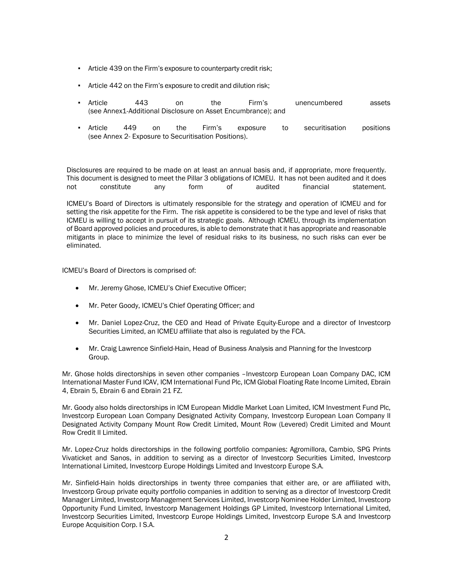- Article 439 on the Firm's exposure to counterparty credit risk;
- Article 442 on the Firm's exposure to credit and dilution risk;
- Article 443 on the Firm's unencumbered assets (see Annex1-Additional Disclosure on Asset Encumbrance); and
- Article 449 on the Firm's exposure to securitisation positions (see Annex 2- Exposure to Securitisation Positions).

Disclosures are required to be made on at least an annual basis and, if appropriate, more frequently. This document is designed to meet the Pillar 3 obligations of ICMEU. It has not been audited and it does not constitute any form of audited financial statement.

ICMEU's Board of Directors is ultimately responsible for the strategy and operation of ICMEU and for setting the risk appetite for the Firm. The risk appetite is considered to be the type and level of risks that ICMEU is willing to accept in pursuit of its strategic goals. Although ICMEU, through its implementation of Board approved policies and procedures, is able to demonstrate that it has appropriate and reasonable mitigants in place to minimize the level of residual risks to its business, no such risks can ever be eliminated.

ICMEU's Board of Directors is comprised of:

- Mr. Jeremy Ghose, ICMEU's Chief Executive Officer;
- Mr. Peter Goody, ICMEU's Chief Operating Officer; and
- Mr. Daniel Lopez-Cruz, the CEO and Head of Private Equity-Europe and a director of Investcorp Securities Limited, an ICMEU affiliate that also is regulated by the FCA.
- Mr. Craig Lawrence Sinfield-Hain, Head of Business Analysis and Planning for the Investcorp Group.

Mr. Ghose holds directorships in seven other companies –Investcorp European Loan Company DAC, ICM International Master Fund ICAV, ICM International Fund Plc, ICM Global Floating Rate Income Limited, Ebrain 4, Ebrain 5, Ebrain 6 and Ebrain 21 FZ.

Mr. Goody also holds directorships in ICM European Middle Market Loan Limited, ICM Investment Fund Plc, Investcorp European Loan Company Designated Activity Company, Investcorp European Loan Company II Designated Activity Company Mount Row Credit Limited, Mount Row (Levered) Credit Limited and Mount Row Credit II Limited.

Mr. Lopez-Cruz holds directorships in the following portfolio companies: Agromillora, Cambio, SPG Prints Vivaticket and Sanos, in addition to serving as a director of Investcorp Securities Limited, Investcorp International Limited, Investcorp Europe Holdings Limited and Investcorp Europe S.A.

Mr. Sinfield-Hain holds directorships in twenty three companies that either are, or are affiliated with, Investcorp Group private equity portfolio companies in addition to serving as a director of Investcorp Credit Manager Limited, Investcorp Management Services Limited, Investcorp Nominee Holder Limited, Investcorp Opportunity Fund Limited, Investcorp Management Holdings GP Limited, Investcorp International Limited, Investcorp Securities Limited, Investcorp Europe Holdings Limited, Investcorp Europe S.A and Investcorp Europe Acquisition Corp. I S.A.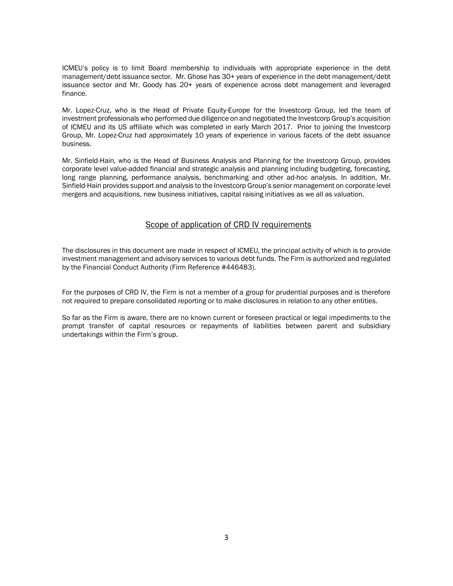ICMEU's policy is to limit Board membership to individuals with appropriate experience in the debt management/debt issuance sector. Mr. Ghose has 30+ years of experience in the debt management/debt issuance sector and Mr. Goody has 20+ years of experience across debt management and leveraged finance.

Mr. Lopez-Cruz, who is the Head of Private Equity-Europe for the Investcorp Group, led the team of investment professionals who performed due diligence on and negotiated the Investcorp Group's acquisition of ICMEU and its US affiliate which was completed in early March 2017. Prior to joining the Investcorp Group, Mr. Lopez-Cruz had approximately 10 years of experience in various facets of the debt issuance business.

Mr. Sinfield-Hain, who is the Head of Business Analysis and Planning for the Investcorp Group, provides corporate level value-added financial and strategic analysis and planning including budgeting, forecasting, long range planning, performance analysis, benchmarking and other ad-hoc analysis. In addition, Mr. Sinfield-Hain provides support and analysis to the Investcorp Group's senior management on corporate level mergers and acquisitions, new business initiatives, capital raising initiatives as we all as valuation.

## Scope of application of CRD IV requirements

The disclosures in this document are made in respect of ICMEU, the principal activity of which is to provide investment management and advisory services to various debt funds. The Firm is authorized and regulated by the Financial Conduct Authority (Firm Reference #446483).

For the purposes of CRD IV, the Firm is not a member of a group for prudential purposes and is therefore not required to prepare consolidated reporting or to make disclosures in relation to any other entities.

So far as the Firm is aware, there are no known current or foreseen practical or legal impediments to the prompt transfer of capital resources or repayments of liabilities between parent and subsidiary undertakings within the Firm's group.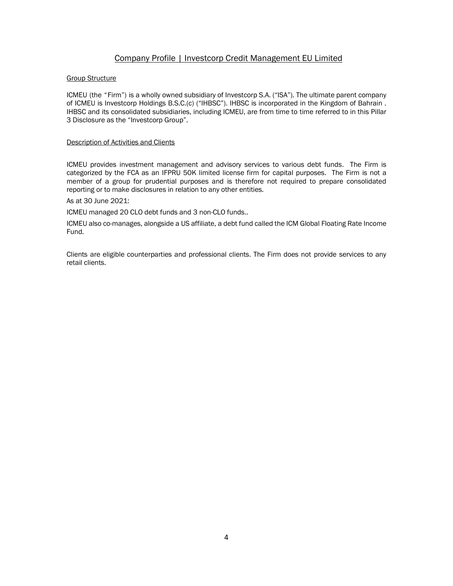## Company Profile | Investcorp Credit Management EU Limited

## Group Structure

ICMEU (the "Firm") is a wholly owned subsidiary of Investcorp S.A. ("ISA"). The ultimate parent company of ICMEU is Investcorp Holdings B.S.C.(c) ("IHBSC"). IHBSC is incorporated in the Kingdom of Bahrain . IHBSC and its consolidated subsidiaries, including ICMEU, are from time to time referred to in this Pillar 3 Disclosure as the "Investcorp Group".

## Description of Activities and Clients

ICMEU provides investment management and advisory services to various debt funds. The Firm is categorized by the FCA as an IFPRU 50K limited license firm for capital purposes. The Firm is not a member of a group for prudential purposes and is therefore not required to prepare consolidated reporting or to make disclosures in relation to any other entities.

## As at 30 June 2021:

ICMEU managed 20 CLO debt funds and 3 non-CLO funds..

ICMEU also co-manages, alongside a US affiliate, a debt fund called the ICM Global Floating Rate Income Fund.

Clients are eligible counterparties and professional clients. The Firm does not provide services to any retail clients.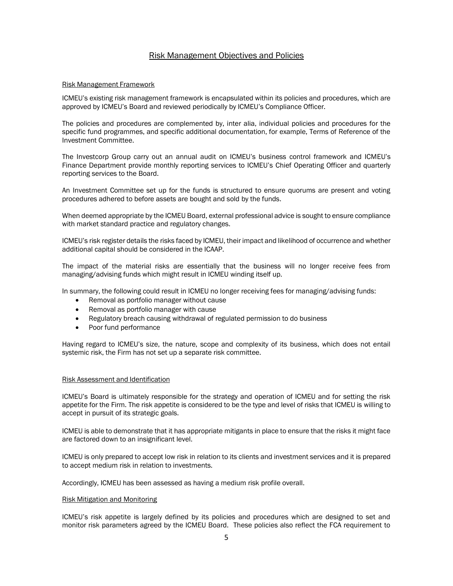## Risk Management Objectives and Policies

### Risk Management Framework

ICMEU's existing risk management framework is encapsulated within its policies and procedures, which are approved by ICMEU's Board and reviewed periodically by ICMEU's Compliance Officer.

The policies and procedures are complemented by, inter alia, individual policies and procedures for the specific fund programmes, and specific additional documentation, for example, Terms of Reference of the Investment Committee.

The Investcorp Group carry out an annual audit on ICMEU's business control framework and ICMEU's Finance Department provide monthly reporting services to ICMEU's Chief Operating Officer and quarterly reporting services to the Board.

An Investment Committee set up for the funds is structured to ensure quorums are present and voting procedures adhered to before assets are bought and sold by the funds.

When deemed appropriate by the ICMEU Board, external professional advice is sought to ensure compliance with market standard practice and regulatory changes.

ICMEU's risk register details the risks faced by ICMEU, their impact and likelihood of occurrence and whether additional capital should be considered in the ICAAP.

The impact of the material risks are essentially that the business will no longer receive fees from managing/advising funds which might result in ICMEU winding itself up.

In summary, the following could result in ICMEU no longer receiving fees for managing/advising funds:

- Removal as portfolio manager without cause
- Removal as portfolio manager with cause
- Regulatory breach causing withdrawal of regulated permission to do business
- Poor fund performance

Having regard to ICMEU's size, the nature, scope and complexity of its business, which does not entail systemic risk, the Firm has not set up a separate risk committee.

#### Risk Assessment and Identification

ICMEU's Board is ultimately responsible for the strategy and operation of ICMEU and for setting the risk appetite for the Firm. The risk appetite is considered to be the type and level of risks that ICMEU is willing to accept in pursuit of its strategic goals.

ICMEU is able to demonstrate that it has appropriate mitigants in place to ensure that the risks it might face are factored down to an insignificant level.

ICMEU is only prepared to accept low risk in relation to its clients and investment services and it is prepared to accept medium risk in relation to investments.

Accordingly, ICMEU has been assessed as having a medium risk profile overall.

#### Risk Mitigation and Monitoring

ICMEU's risk appetite is largely defined by its policies and procedures which are designed to set and monitor risk parameters agreed by the ICMEU Board. These policies also reflect the FCA requirement to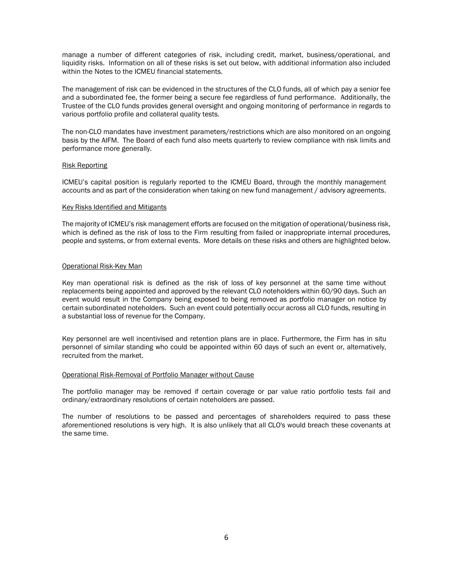manage a number of different categories of risk, including credit, market, business/operational, and liquidity risks. Information on all of these risks is set out below, with additional information also included within the Notes to the ICMEU financial statements.

The management of risk can be evidenced in the structures of the CLO funds, all of which pay a senior fee and a subordinated fee, the former being a secure fee regardless of fund performance. Additionally, the Trustee of the CLO funds provides general oversight and ongoing monitoring of performance in regards to various portfolio profile and collateral quality tests.

The non-CLO mandates have investment parameters/restrictions which are also monitored on an ongoing basis by the AIFM. The Board of each fund also meets quarterly to review compliance with risk limits and performance more generally.

#### Risk Reporting

ICMEU's capital position is regularly reported to the ICMEU Board, through the monthly management accounts and as part of the consideration when taking on new fund management / advisory agreements.

#### Key Risks Identified and Mitigants

The majority of ICMEU's risk management efforts are focused on the mitigation of operational/business risk, which is defined as the risk of loss to the Firm resulting from failed or inappropriate internal procedures, people and systems, or from external events. More details on these risks and others are highlighted below.

### Operational Risk-Key Man

Key man operational risk is defined as the risk of loss of key personnel at the same time without replacements being appointed and approved by the relevant CLO noteholders within 60/90 days. Such an event would result in the Company being exposed to being removed as portfolio manager on notice by certain subordinated noteholders. Such an event could potentially occur across all CLO funds, resulting in a substantial loss of revenue for the Company.

Key personnel are well incentivised and retention plans are in place. Furthermore, the Firm has in situ personnel of similar standing who could be appointed within 60 days of such an event or, alternatively, recruited from the market.

#### Operational Risk-Removal of Portfolio Manager without Cause

The portfolio manager may be removed if certain coverage or par value ratio portfolio tests fail and ordinary/extraordinary resolutions of certain noteholders are passed.

The number of resolutions to be passed and percentages of shareholders required to pass these aforementioned resolutions is very high. It is also unlikely that all CLO's would breach these covenants at the same time.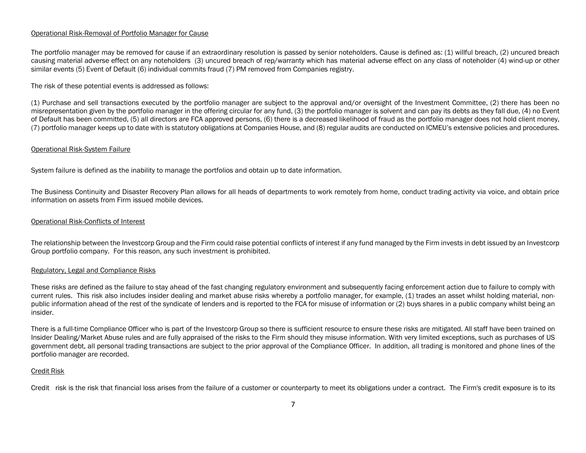### Operational Risk-Removal of Portfolio Manager for Cause

The portfolio manager may be removed for cause if an extraordinary resolution is passed by senior noteholders. Cause is defined as: (1) willful breach, (2) uncured breach causing material adverse effect on any noteholders (3) uncured breach of rep/warranty which has material adverse effect on any class of noteholder (4) wind-up or other similar events (5) Event of Default (6) individual commits fraud (7) PM removed from Companies registry.

The risk of these potential events is addressed as follows:

(1) Purchase and sell transactions executed by the portfolio manager are subject to the approval and/or oversight of the Investment Committee, (2) there has been no misrepresentation given by the portfolio manager in the offering circular for any fund, (3) the portfolio manager is solvent and can pay its debts as they fall due, (4) no Event of Default has been committed, (5) all directors are FCA approved persons, (6) there is a decreased likelihood of fraud as the portfolio manager does not hold client money, (7) portfolio manager keeps up to date with is statutory obligations at Companies House, and (8) regular audits are conducted on ICMEU's extensive policies and procedures.

## Operational Risk-System Failure

System failure is defined as the inability to manage the portfolios and obtain up to date information.

The Business Continuity and Disaster Recovery Plan allows for all heads of departments to work remotely from home, conduct trading activity via voice, and obtain price information on assets from Firm issued mobile devices.

## Operational Risk-Conflicts of Interest

The relationship between the Investcorp Group and the Firm could raise potential conflicts of interest if any fund managed by the Firm invests in debt issued by an Investcorp Group portfolio company. For this reason, any such investment is prohibited.

#### Regulatory, Legal and Compliance Risks

These risks are defined as the failure to stay ahead of the fast changing regulatory environment and subsequently facing enforcement action due to failure to comply with current rules. This risk also includes insider dealing and market abuse risks whereby a portfolio manager, for example, (1) trades an asset whilst holding material, nonpublic information ahead of the rest of the syndicate of lenders and is reported to the FCA for misuse of information or (2) buys shares in a public company whilst being an insider.

There is a full-time Compliance Officer who is part of the Investcorp Group so there is sufficient resource to ensure these risks are mitigated. All staff have been trained on Insider Dealing/Market Abuse rules and are fully appraised of the risks to the Firm should they misuse information. With very limited exceptions, such as purchases of US government debt, all personal trading transactions are subject to the prior approval of the Compliance Officer. In addition, all trading is monitored and phone lines of the portfolio manager are recorded.

#### Credit Risk

Credit risk is the risk that financial loss arises from the failure of a customer or counterparty to meet its obligations under a contract. The Firm's credit exposure is to its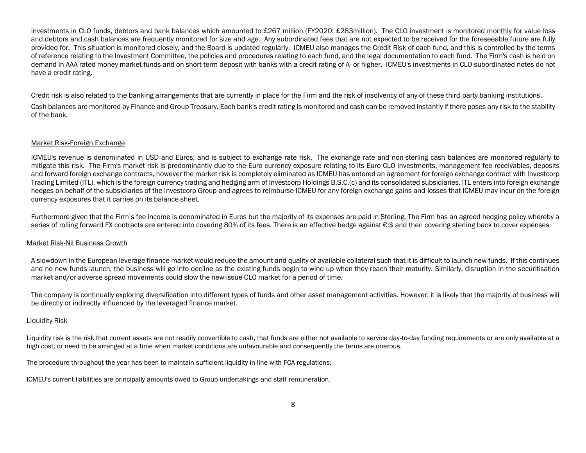investments in CLO funds, debtors and bank balances which amounted to £267 million (FY2020: £283million). The CLO investment is monitored monthly for value loss and debtors and cash balances are frequently monitored for size and age. Any subordinated fees that are not expected to be received for the foreseeable future are fully provided for. This situation is monitored closely, and the Board is updated regularly. ICMEU also manages the Credit Risk of each fund, and this is controlled by the terms of reference relating to the Investment Committee, the policies and procedures relating to each fund, and the legal documentation to each fund. The Firm's cash is held on demand in AAA rated money market funds and on short-term deposit with banks with a credit rating of A- or higher. ICMEU's investments in CLO subordinated notes do not have a credit rating.

Credit risk is also related to the banking arrangements that are currently in place for the Firm and the risk of insolvency of any of these third party banking institutions.

Cash balances are monitored by Finance and Group Treasury. Each bank's credit rating is monitored and cash can be removed instantly if there poses any risk to the stability of the bank.

## Market Risk-Foreign Exchange

ICMEU's revenue is denominated in USD and Euros, and is subject to exchange rate risk. The exchange rate and non-sterling cash balances are monitored regularly to mitigate this risk. The Firm's market risk is predominantly due to the Euro currency exposure relating to its Euro CLO investments, management fee receivables, deposits and forward foreign exchange contracts, however the market risk is completely eliminated as ICMEU has entered an agreement for foreign exchange contract with Investcorp Trading Limited (ITL), which is the foreign currency trading and hedging arm of Investcorp Holdings B.S.C.(c) and its consolidated subsidiaries. ITL enters into foreign exchange hedges on behalf of the subsidiaries of the Investcorp Group and agrees to reimburse ICMEU for any foreign exchange gains and losses that ICMEU may incur on the foreign currency exposures that it carries on its balance sheet.

Furthermore given that the Firm's fee income is denominated in Euros but the majority of its expenses are paid in Sterling. The Firm has an agreed hedging policy whereby a series of rolling forward FX contracts are entered into covering 80% of its fees. There is an effective hedge against €:\$ and then covering sterling back to cover expenses.

## Market Risk-Nil Business Growth

A slowdown in the European leverage finance market would reduce the amount and quality of available collateral such that it is difficult to launch new funds. If this continues and no new funds launch, the business will go into decline as the existing funds begin to wind up when they reach their maturity. Similarly, disruption in the securitisation market and/or adverse spread movements could slow the new issue CLO market for a period of time.

The company is continually exploring diversification into different types of funds and other asset management activities. However, it is likely that the majority of business will be directly or indirectly influenced by the leveraged finance market.

## Liquidity Risk

Liquidity risk is the risk that current assets are not readily convertible to cash, that funds are either not available to service day-to-day funding requirements or are only available at a high cost, or need to be arranged at a time when market conditions are unfavourable and consequently the terms are onerous.

The procedure throughout the year has been to maintain sufficient liquidity in line with FCA regulations.

ICMEU's current liabilities are principally amounts owed to Group undertakings and staff remuneration.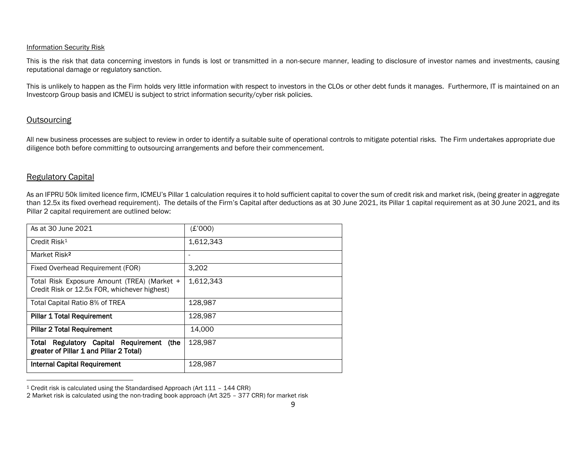## Information Security Risk

This is the risk that data concerning investors in funds is lost or transmitted in a non-secure manner, leading to disclosure of investor names and investments, causing reputational damage or regulatory sanction.

This is unlikely to happen as the Firm holds very little information with respect to investors in the CLOs or other debt funds it manages. Furthermore, IT is maintained on an Investcorp Group basis and ICMEU is subject to strict information security/cyber risk policies.

## **Outsourcing**

All new business processes are subject to review in order to identify a suitable suite of operational controls to mitigate potential risks. The Firm undertakes appropriate due diligence both before committing to outsourcing arrangements and before their commencement.

## Regulatory Capital

As an IFPRU 50k limited licence firm, ICMEU's Pillar 1 calculation requires it to hold sufficient capital to cover the sum of credit risk and market risk, (being greater in aggregate than 12.5x its fixed overhead requirement). The details of the Firm's Capital after deductions as at 30 June 2021, its Pillar 1 capital requirement as at 30 June 2021, and its Pillar 2 capital requirement are outlined below:

| As at 30 June 2021                                                                          | (E'000)   |
|---------------------------------------------------------------------------------------------|-----------|
| Credit Risk <sup>1</sup>                                                                    | 1,612,343 |
| Market Risk <sup>2</sup>                                                                    | ۰         |
| Fixed Overhead Requirement (FOR)                                                            | 3,202     |
| Total Risk Exposure Amount (TREA) (Market +<br>Credit Risk or 12.5x FOR, whichever highest) | 1,612,343 |
| Total Capital Ratio 8% of TREA                                                              | 128.987   |
| <b>Pillar 1 Total Requirement</b>                                                           | 128,987   |
| <b>Pillar 2 Total Requirement</b>                                                           | 14,000    |
| (the<br>Regulatory Capital Requirement<br>Total<br>greater of Pillar 1 and Pillar 2 Total)  | 128,987   |
| Internal Capital Requirement                                                                | 128,987   |

<sup>1</sup> Credit risk is calculated using the Standardised Approach (Art 111 – 144 CRR)

<sup>2</sup> Market risk is calculated using the non-trading book approach (Art 325 – 377 CRR) for market risk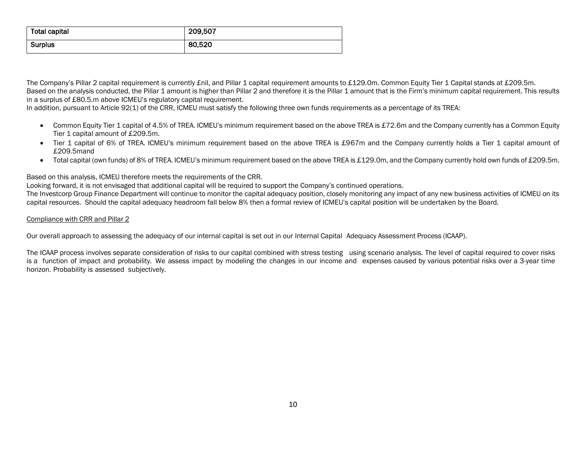| <b>Total capital</b> | 209,507 |
|----------------------|---------|
| <b>Surplus</b>       | 80,520  |

The Company's Pillar 2 capital requirement is currently £nil, and Pillar 1 capital requirement amounts to £129.0m. Common Equity Tier 1 Capital stands at £209.5m. Based on the analysis conducted, the Pillar 1 amount is higher than Pillar 2 and therefore it is the Pillar 1 amount that is the Firm's minimum capital requirement. This results in a surplus of £80.5.m above ICMEU's regulatory capital requirement.

In addition, pursuant to Article 92(1) of the CRR, ICMEU must satisfy the following three own funds requirements as a percentage of its TREA:

- Common Equity Tier 1 capital of 4.5% of TREA. ICMEU's minimum requirement based on the above TREA is £72.6m and the Company currently has a Common Equity Tier 1 capital amount of £209.5m.
- Tier 1 capital of 6% of TREA. ICMEU's minimum requirement based on the above TREA is £967m and the Company currently holds a Tier 1 capital amount of £209.5mand
- Total capital (own funds) of 8% of TREA. ICMEU's minimum requirement based on the above TREA is £129.0m, and the Company currently hold own funds of £209.5m.

## Based on this analysis, ICMEU therefore meets the requirements of the CRR.

Looking forward, it is not envisaged that additional capital will be required to support the Company's continued operations.

The Investcorp Group Finance Department will continue to monitor the capital adequacy position, closely monitoring any impact of any new business activities of ICMEU on its capital resources. Should the capital adequacy headroom fall below 8% then a formal review of ICMEU's capital position will be undertaken by the Board.

## Compliance with CRR and Pillar 2

Our overall approach to assessing the adequacy of our internal capital is set out in our Internal Capital Adequacy Assessment Process (ICAAP).

The ICAAP process involves separate consideration of risks to our capital combined with stress testing using scenario analysis. The level of capital required to cover risks is a function of impact and probability. We assess impact by modeling the changes in our income and expenses caused by various potential risks over a 3-year time horizon. Probability is assessed subjectively.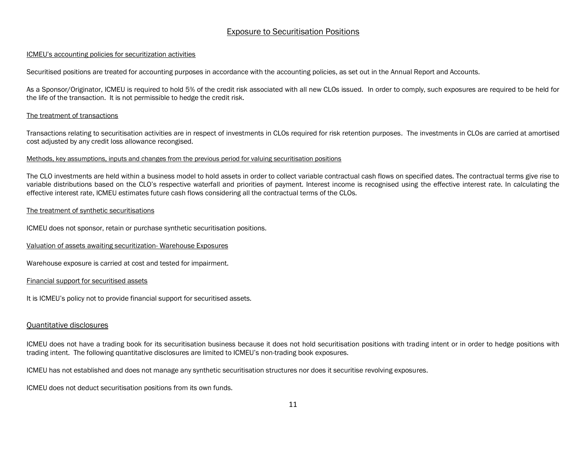## Exposure to Securitisation Positions

## ICMEU's accounting policies for securitization activities

Securitised positions are treated for accounting purposes in accordance with the accounting policies, as set out in the Annual Report and Accounts.

As a Sponsor/Originator, ICMEU is required to hold 5% of the credit risk associated with all new CLOs issued. In order to comply, such exposures are required to be held for the life of the transaction. It is not permissible to hedge the credit risk.

## The treatment of transactions

Transactions relating to securitisation activities are in respect of investments in CLOs required for risk retention purposes. The investments in CLOs are carried at amortised cost adjusted by any credit loss allowance recongised.

#### Methods, key assumptions, inputs and changes from the previous period for valuing securitisation positions

The CLO investments are held within a business model to hold assets in order to collect variable contractual cash flows on specified dates. The contractual terms give rise to variable distributions based on the CLO's respective waterfall and priorities of payment. Interest income is recognised using the effective interest rate. In calculating the effective interest rate, ICMEU estimates future cash flows considering all the contractual terms of the CLOs.

## The treatment of synthetic securitisations

ICMEU does not sponsor, retain or purchase synthetic securitisation positions.

## Valuation of assets awaiting securitization- Warehouse Exposures

Warehouse exposure is carried at cost and tested for impairment.

## Financial support for securitised assets

It is ICMEU's policy not to provide financial support for securitised assets.

## Quantitative disclosures

ICMEU does not have a trading book for its securitisation business because it does not hold securitisation positions with trading intent or in order to hedge positions with trading intent. The following quantitative disclosures are limited to ICMEU's non-trading book exposures.

ICMEU has not established and does not manage any synthetic securitisation structures nor does it securitise revolving exposures.

ICMEU does not deduct securitisation positions from its own funds.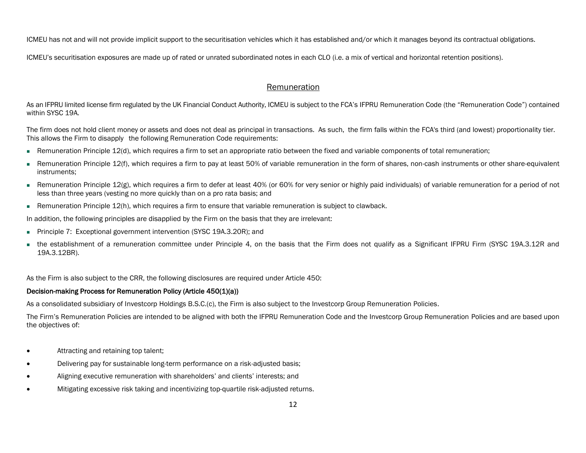ICMEU has not and will not provide implicit support to the securitisation vehicles which it has established and/or which it manages beyond its contractual obligations.

ICMEU's securitisation exposures are made up of rated or unrated subordinated notes in each CLO (i.e. a mix of vertical and horizontal retention positions).

## Remuneration

As an IFPRU limited license firm regulated by the UK Financial Conduct Authority, ICMEU is subject to the FCA's IFPRU Remuneration Code (the "Remuneration Code") contained within SYSC 19A.

The firm does not hold client money or assets and does not deal as principal in transactions. As such, the firm falls within the FCA's third (and lowest) proportionality tier. This allows the Firm to disapply the following Remuneration Code requirements:

- Remuneration Principle 12(d), which requires a firm to set an appropriate ratio between the fixed and variable components of total remuneration;
- Remuneration Principle 12(f), which requires a firm to pay at least 50% of variable remuneration in the form of shares, non-cash instruments or other share-equivalent instruments;
- Remuneration Principle 12(g), which requires a firm to defer at least 40% (or 60% for very senior or highly paid individuals) of variable remuneration for a period of not less than three years (vesting no more quickly than on a pro rata basis; and
- Remuneration Principle 12(h), which requires a firm to ensure that variable remuneration is subject to clawback.

In addition, the following principles are disapplied by the Firm on the basis that they are irrelevant:

- Principle 7: Exceptional government intervention (SYSC 19A.3.20R); and
- the establishment of a remuneration committee under Principle 4, on the basis that the Firm does not qualify as a Significant IFPRU Firm (SYSC 19A.3.12R and 19A.3.12BR).

As the Firm is also subject to the CRR, the following disclosures are required under Article 450:

## Decision-making Process for Remuneration Policy (Article 450(1)(a))

As a consolidated subsidiary of Investcorp Holdings B.S.C.(c), the Firm is also subject to the Investcorp Group Remuneration Policies.

The Firm's Remuneration Policies are intended to be aligned with both the IFPRU Remuneration Code and the Investcorp Group Remuneration Policies and are based upon the objectives of:

- Attracting and retaining top talent;
- Delivering pay for sustainable long-term performance on a risk-adjusted basis;
- Aligning executive remuneration with shareholders' and clients' interests; and
- Mitigating excessive risk taking and incentivizing top-quartile risk-adjusted returns.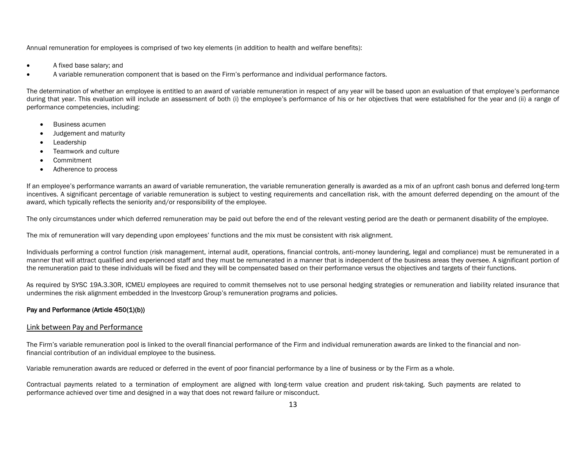Annual remuneration for employees is comprised of two key elements (in addition to health and welfare benefits):

- A fixed base salary; and
- A variable remuneration component that is based on the Firm's performance and individual performance factors.

The determination of whether an employee is entitled to an award of variable remuneration in respect of any year will be based upon an evaluation of that employee's performance during that year. This evaluation will include an assessment of both (i) the employee's performance of his or her objectives that were established for the year and (ii) a range of performance competencies, including:

- Business acumen
- Judgement and maturity
- **Leadership**
- Teamwork and culture
- **Commitment**
- Adherence to process

If an employee's performance warrants an award of variable remuneration, the variable remuneration generally is awarded as a mix of an upfront cash bonus and deferred long-term incentives. A significant percentage of variable remuneration is subject to vesting requirements and cancellation risk, with the amount deferred depending on the amount of the award, which typically reflects the seniority and/or responsibility of the employee.

The only circumstances under which deferred remuneration may be paid out before the end of the relevant vesting period are the death or permanent disability of the employee.

The mix of remuneration will vary depending upon employees' functions and the mix must be consistent with risk alignment.

Individuals performing a control function (risk management, internal audit, operations, financial controls, anti-money laundering, legal and compliance) must be remunerated in a manner that will attract qualified and experienced staff and they must be remunerated in a manner that is independent of the business areas they oversee. A significant portion of the remuneration paid to these individuals will be fixed and they will be compensated based on their performance versus the objectives and targets of their functions.

As required by SYSC 19A.3.30R, ICMEU employees are required to commit themselves not to use personal hedging strategies or remuneration and liability related insurance that undermines the risk alignment embedded in the Investcorp Group's remuneration programs and policies.

## Pay and Performance (Article 450(1)(b))

#### Link between Pay and Performance

The Firm's variable remuneration pool is linked to the overall financial performance of the Firm and individual remuneration awards are linked to the financial and nonfinancial contribution of an individual employee to the business.

Variable remuneration awards are reduced or deferred in the event of poor financial performance by a line of business or by the Firm as a whole.

Contractual payments related to a termination of employment are aligned with long-term value creation and prudent risk-taking. Such payments are related to performance achieved over time and designed in a way that does not reward failure or misconduct.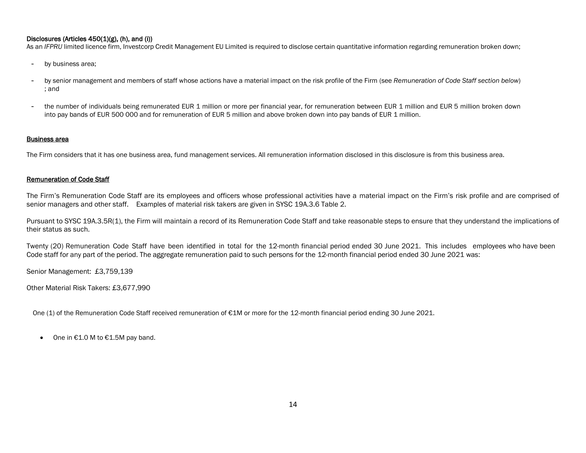## Disclosures (Articles 450(1)(g), (h), and (i))

As an *IFPRU* limited licence firm, Investcorp Credit Management EU Limited is required to disclose certain quantitative information regarding remuneration broken down;

- by business area;
- by senior management and members of staff whose actions have a material impact on the risk profile of the Firm (see *Remuneration of Code Staff section below*) ; and
- the number of individuals being remunerated EUR 1 million or more per financial year, for remuneration between EUR 1 million and EUR 5 million broken down into pay bands of EUR 500 000 and for remuneration of EUR 5 million and above broken down into pay bands of EUR 1 million.

#### Business area

The Firm considers that it has one business area, fund management services. All remuneration information disclosed in this disclosure is from this business area.

## Remuneration of Code Staff

The Firm's Remuneration Code Staff are its employees and officers whose professional activities have a material impact on the Firm's risk profile and are comprised of senior managers and other staff. Examples of material risk takers are given in SYSC 19A.3.6 Table 2.

Pursuant to SYSC 19A.3.5R(1), the Firm will maintain a record of its Remuneration Code Staff and take reasonable steps to ensure that they understand the implications of their status as such.

Twenty (20) Remuneration Code Staff have been identified in total for the 12-month financial period ended 30 June 2021. This includes employees who have been Code staff for any part of the period. The aggregate remuneration paid to such persons for the 12-month financial period ended 30 June 2021 was:

Senior Management: £3,759,139

Other Material Risk Takers: £3,677,990

One (1) of the Remuneration Code Staff received remuneration of €1M or more for the 12-month financial period ending 30 June 2021.

• One in €1.0 M to €1.5M pay band.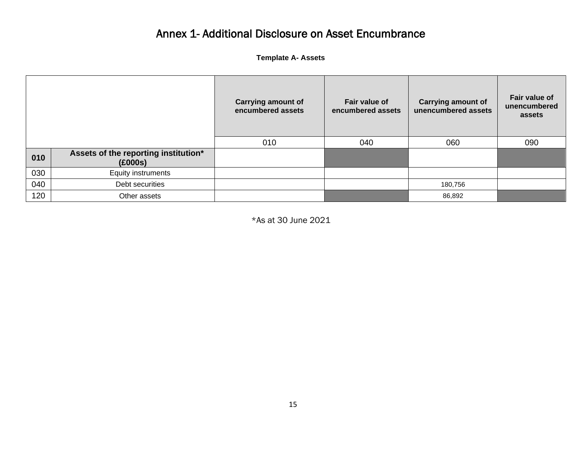## Annex 1- Additional Disclosure on Asset Encumbrance

**Template A- Assets**

|     |                                                 | <b>Carrying amount of</b><br>encumbered assets | Fair value of<br>encumbered assets | <b>Carrying amount of</b><br>unencumbered assets | Fair value of<br>unencumbered<br>assets |
|-----|-------------------------------------------------|------------------------------------------------|------------------------------------|--------------------------------------------------|-----------------------------------------|
|     |                                                 | 010                                            | 040                                | 060                                              | 090                                     |
| 010 | Assets of the reporting institution*<br>(£000s) |                                                |                                    |                                                  |                                         |
| 030 | Equity instruments                              |                                                |                                    |                                                  |                                         |
| 040 | Debt securities                                 |                                                |                                    | 180,756                                          |                                         |
| 120 | Other assets                                    |                                                |                                    | 86,892                                           |                                         |

\*As at 30 June 2021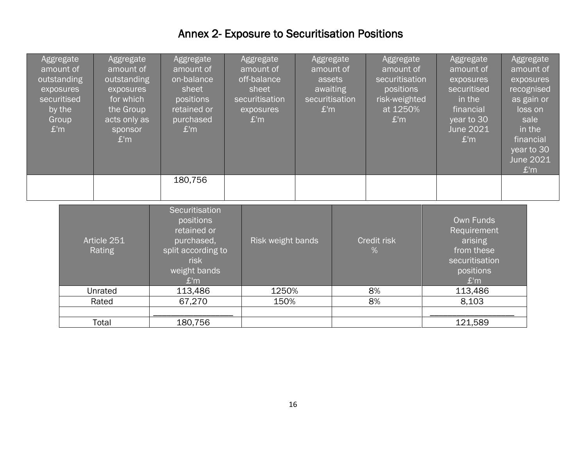## Annex 2- Exposure to Securitisation Positions

| Aggregate<br>amount of<br>outstanding<br>exposures<br>securitised<br>by the<br>Group<br>£'m | Aggregate<br>amount of<br>outstanding<br>exposures<br>for which<br>the Group<br>acts only as<br>sponsor<br>E'm | Aggregate<br>amount of<br>on-balance<br>sheet<br>positions<br>retained or<br>purchased<br>£'m                 | Aggregate<br>amount of<br>off-balance<br>sheet<br>securitisation<br>exposures<br>£'m | Aggregate<br>amount of<br>assets<br>awaiting<br>securitisation<br>£'m | Aggregate<br>amount of<br>securitisation<br>positions<br>risk-weighted<br>at 1250%<br>£'m | Aggregate<br>amount of<br>exposures<br>securitised<br>in the<br>financial<br>year to 30<br><b>June 2021</b><br>£'m | Aggregate<br>amount of<br>exposures<br>recognised<br>as gain or<br>loss on<br>sale<br>in the<br>financial<br>year to 30<br><b>June 2021</b><br>£'m |
|---------------------------------------------------------------------------------------------|----------------------------------------------------------------------------------------------------------------|---------------------------------------------------------------------------------------------------------------|--------------------------------------------------------------------------------------|-----------------------------------------------------------------------|-------------------------------------------------------------------------------------------|--------------------------------------------------------------------------------------------------------------------|----------------------------------------------------------------------------------------------------------------------------------------------------|
|                                                                                             |                                                                                                                | 180,756                                                                                                       |                                                                                      |                                                                       |                                                                                           |                                                                                                                    |                                                                                                                                                    |
|                                                                                             | Article 251<br>Rating                                                                                          | Securitisation<br>positions<br>retained or<br>purchased,<br>split according to<br>risk<br>weight bands<br>E'm | Risk weight bands                                                                    |                                                                       | Credit risk<br>$\%$                                                                       | Own Funds<br>Requirement<br>arising<br>from these<br>securitisation<br>positions<br>E'm                            |                                                                                                                                                    |
|                                                                                             | Unrated                                                                                                        | 113,486                                                                                                       | 1250%                                                                                |                                                                       | 8%                                                                                        | 113,486                                                                                                            |                                                                                                                                                    |
|                                                                                             | Rated                                                                                                          | 67,270                                                                                                        | 150%                                                                                 |                                                                       | 8%                                                                                        | 8,103                                                                                                              |                                                                                                                                                    |
|                                                                                             | Total                                                                                                          | 180,756                                                                                                       |                                                                                      |                                                                       |                                                                                           | 121,589                                                                                                            |                                                                                                                                                    |